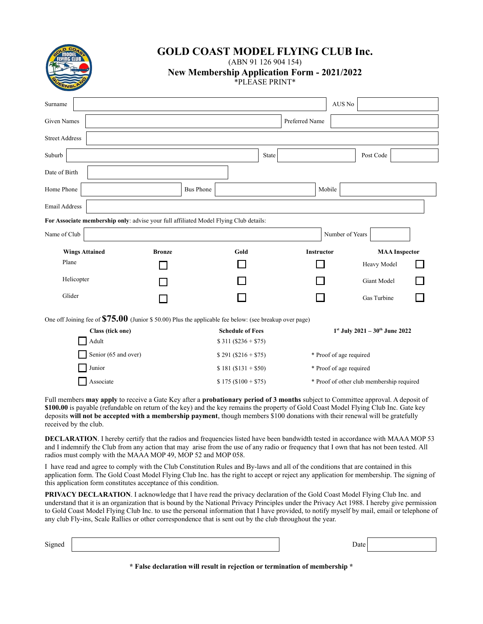

# **GOLD COAST MODEL FLYING CLUB Inc.**

(ABN 91 126 904 154) **New Membership Application Form - 2021/2022**

| *PLEASE PRINT* |
|----------------|
|                |

| Surname               |                                                                                                          |               |                  |                         |                | AUS No                  |                                                 |  |
|-----------------------|----------------------------------------------------------------------------------------------------------|---------------|------------------|-------------------------|----------------|-------------------------|-------------------------------------------------|--|
| <b>Given Names</b>    |                                                                                                          |               |                  |                         | Preferred Name |                         |                                                 |  |
| <b>Street Address</b> |                                                                                                          |               |                  |                         |                |                         |                                                 |  |
| Suburb                |                                                                                                          |               |                  | State                   |                |                         | Post Code                                       |  |
| Date of Birth         |                                                                                                          |               |                  |                         |                |                         |                                                 |  |
| Home Phone            |                                                                                                          |               | <b>Bus Phone</b> |                         |                | Mobile                  |                                                 |  |
| <b>Email Address</b>  |                                                                                                          |               |                  |                         |                |                         |                                                 |  |
|                       | For Associate membership only: advise your full affiliated Model Flying Club details:                    |               |                  |                         |                |                         |                                                 |  |
| Name of Club          |                                                                                                          |               |                  |                         |                | Number of Years         |                                                 |  |
|                       |                                                                                                          |               |                  |                         |                |                         |                                                 |  |
| <b>Wings Attained</b> |                                                                                                          | <b>Bronze</b> |                  | Gold                    | Instructor     |                         | <b>MAA</b> Inspector                            |  |
| Plane                 |                                                                                                          |               |                  |                         |                |                         | Heavy Model                                     |  |
| Helicopter            |                                                                                                          |               |                  |                         |                |                         | Giant Model                                     |  |
| Glider                |                                                                                                          |               |                  |                         |                |                         | Gas Turbine                                     |  |
|                       | One off Joining fee of $$75.00$ (Junior \$ 50.00) Plus the applicable fee below: (see breakup over page) |               |                  |                         |                |                         |                                                 |  |
|                       | Class (tick one)                                                                                         |               |                  | <b>Schedule of Fees</b> |                |                         | $1^{st}$ July 2021 - 30 <sup>th</sup> June 2022 |  |
|                       | Adult                                                                                                    |               |                  | $$311 ($236 + $75)$     |                |                         |                                                 |  |
|                       | Senior (65 and over)                                                                                     |               |                  | $$291 ($216 + $75)$     |                | * Proof of age required |                                                 |  |
|                       | Junior                                                                                                   |               |                  | $$181 ($131 + $50)$     |                | * Proof of age required |                                                 |  |

Full members **may apply** to receive a Gate Key after a **probationary period of 3 months** subject to Committee approval. A deposit of **\$100.00** is payable (refundable on return of the key) and the key remains the property of Gold Coast Model Flying Club Inc. Gate key deposits **will not be accepted with a membership payment**, though members \$100 donations with their renewal will be gratefully received by the club.

**DECLARATION**. I hereby certify that the radios and frequencies listed have been bandwidth tested in accordance with MAAA MOP 53 and I indemnify the Club from any action that may arise from the use of any radio or frequency that I own that has not been tested. All radios must comply with the MAAA MOP 49, MOP 52 and MOP 058.

I have read and agree to comply with the Club Constitution Rules and By-laws and all of the conditions that are contained in this application form. The Gold Coast Model Flying Club Inc. has the right to accept or reject any application for membership. The signing of this application form constitutes acceptance of this condition.

**PRIVACY DECLARATION**. I acknowledge that I have read the privacy declaration of the Gold Coast Model Flying Club Inc. and understand that it is an organization that is bound by the National Privacy Principles under the Privacy Act 1988. I hereby give permission to Gold Coast Model Flying Club Inc. to use the personal information that I have provided, to notify myself by mail, email or telephone of any club Fly-ins, Scale Rallies or other correspondence that is sent out by the club throughout the year.

| Signed | Date |  |
|--------|------|--|
|        |      |  |

**\* False declaration will result in rejection or termination of membership \***